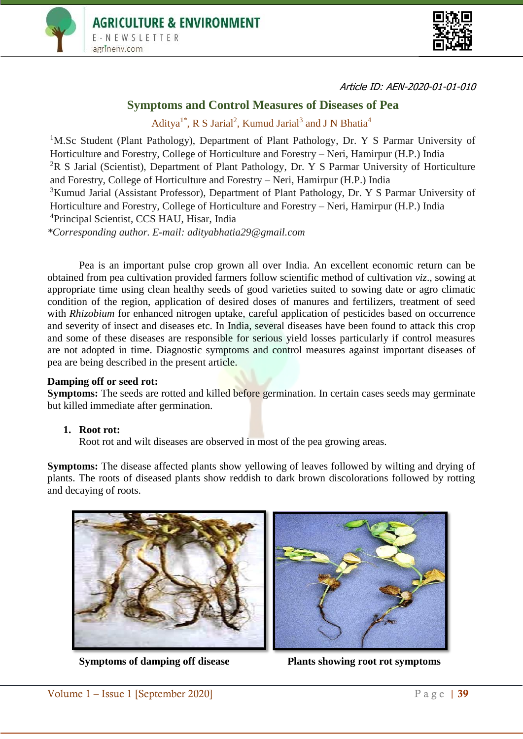



Article ID: AEN-2020-01-01-010

# **Symptoms and Control Measures of Diseases of Pea**

Aditya<sup>1\*</sup>, R S Jarial<sup>2</sup>, Kumud Jarial<sup>3</sup> and J N Bhatia<sup>4</sup>

<sup>1</sup>M.Sc Student (Plant Pathology), Department of Plant Pathology, Dr. Y S Parmar University of Horticulture and Forestry, College of Horticulture and Forestry – Neri, Hamirpur (H.P.) India  ${}^{2}R$  S Jarial (Scientist), Department of Plant Pathology, Dr. Y S Parmar University of Horticulture and Forestry, College of Horticulture and Forestry – Neri, Hamirpur (H.P.) India <sup>3</sup>Kumud Jarial (Assistant Professor), Department of Plant Pathology, Dr. Y S Parmar University of Horticulture and Forestry, College of Horticulture and Forestry – Neri, Hamirpur (H.P.) India <sup>4</sup>Principal Scientist, CCS HAU, Hisar, India *\*Corresponding author. E-mail: adityabhatia29@gmail.com*

Pea is an important pulse crop grown all over India. An excellent economic return can be obtained from pea cultivation provided farmers follow scientific method of cultivation *viz*., sowing at appropriate time using clean healthy seeds of good varieties suited to sowing date or agro climatic condition of the region, application of desired doses of manures and fertilizers, treatment of seed with *Rhizobium* for enhanced nitrogen uptake, careful application of pesticides based on occurrence and severity of insect and diseases etc. In India, several diseases have been found to attack this crop and some of these diseases are responsible for serious yield losses particularly if control measures are not adopted in time. Diagnostic symptoms and control measures against important diseases of pea are being described in the present article.

#### **Damping off or seed rot:**

**Symptoms:** The seeds are rotted and killed before germination. In certain cases seeds may germinate but killed immediate after germination.

#### **1. Root rot:**

Root rot and wilt diseases are observed in most of the pea growing areas.

**Symptoms:** The disease affected plants show yellowing of leaves followed by wilting and drying of plants. The roots of diseased plants show reddish to dark brown discolorations followed by rotting and decaying of roots.



**Symptoms of damping off disease Plants showing root rot symptoms**

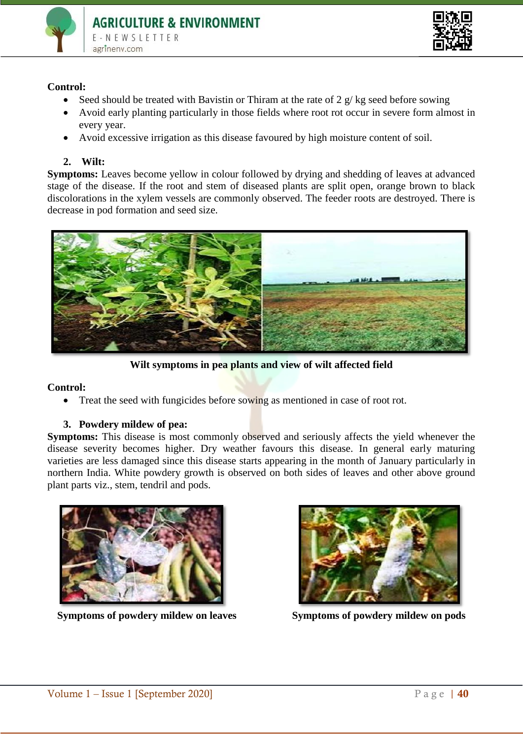



#### **Control:**

- Seed should be treated with Bavistin or Thiram at the rate of  $2 \frac{g}{kg}$  seed before sowing
- Avoid early planting particularly in those fields where root rot occur in severe form almost in every year.
- Avoid excessive irrigation as this disease favoured by high moisture content of soil.

## **2. Wilt:**

**Symptoms:** Leaves become yellow in colour followed by drying and shedding of leaves at advanced stage of the disease. If the root and stem of diseased plants are split open, orange brown to black discolorations in the xylem vessels are commonly observed. The feeder roots are destroyed. There is decrease in pod formation and seed size.



**Wilt symptoms in pea plants and view of wilt affected field**

#### **Control:**

• Treat the seed with fungicides before sowing as mentioned in case of root rot.

#### **3. Powdery mildew of pea:**

**Symptoms:** This disease is most commonly observed and seriously affects the yield whenever the disease severity becomes higher. Dry weather favours this disease. In general early maturing varieties are less damaged since this disease starts appearing in the month of January particularly in northern India. White powdery growth is observed on both sides of leaves and other above ground plant parts viz., stem, tendril and pods.



**Symptoms of powdery mildew on leaves** Symptoms of powdery mildew on pods

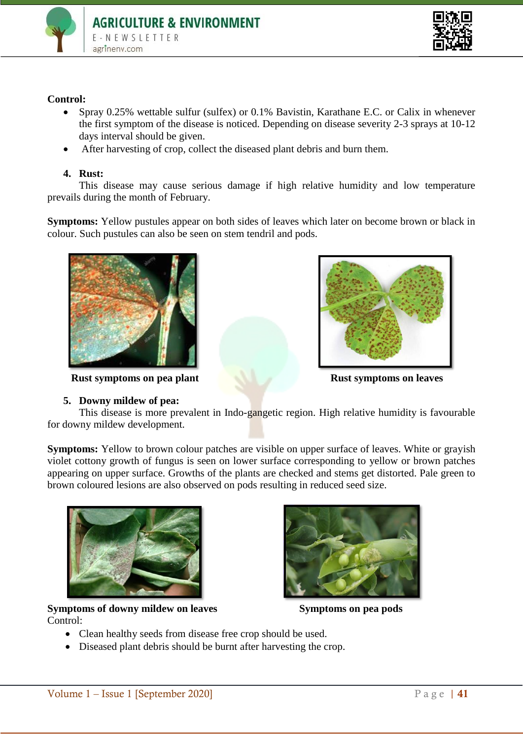



### **Control:**

- Spray 0.25% wettable sulfur (sulfex) or 0.1% Bavistin, Karathane E.C. or Calix in whenever the first symptom of the disease is noticed. Depending on disease severity 2-3 sprays at 10-12 days interval should be given.
- After harvesting of crop, collect the diseased plant debris and burn them.

#### **4. Rust:**

This disease may cause serious damage if high relative humidity and low temperature prevails during the month of February.

**Symptoms:** Yellow pustules appear on both sides of leaves which later on become brown or black in colour. Such pustules can also be seen on stem tendril and pods.



**Rust symptoms on pea plant Rust symptoms on leaves** 

**5. Downy mildew of pea:** This disease is more prevalent in Indo-gangetic region. High relative humidity is favourable for downy mildew development.

**Symptoms:** Yellow to brown colour patches are visible on upper surface of leaves. White or grayish violet cottony growth of fungus is seen on lower surface corresponding to yellow or brown patches appearing on upper surface. Growths of the plants are checked and stems get distorted. Pale green to brown coloured lesions are also observed on pods resulting in reduced seed size.



Symptoms of downy mildew on leaves Symptoms on pea pods Control:



- Clean healthy seeds from disease free crop should be used.
- Diseased plant debris should be burnt after harvesting the crop.